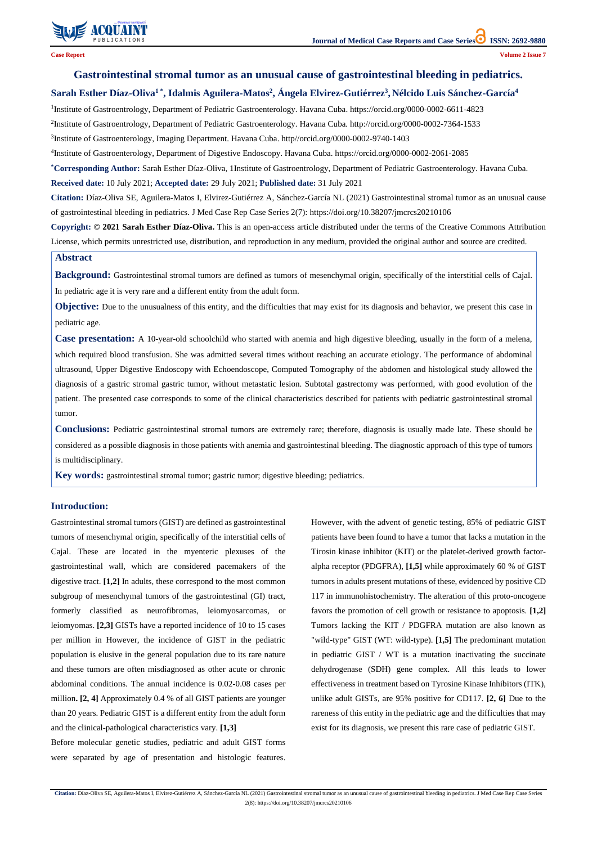

2(8): https://doi.org/10.38207/jmcrcs20210106

# **Gastrointestinal stromal tumor as an unusual cause of gastrointestinal bleeding in pediatrics.**

# **Sarah Esther Díaz-Oliva<sup>1</sup> \* , Idalmis Aguilera-Matos<sup>2</sup> , Ángela Elvirez-Gutiérrez<sup>3</sup> , Nélcido Luis Sánchez-García<sup>4</sup>**

<sup>1</sup>Institute of Gastroentrology, Department of Pediatric Gastroenterology. Havana Cuba. <https://orcid.org/0000-0002-6611-4823>

2 Institute of Gastroentrology, Department of Pediatric Gastroenterology. Havana Cuba. <http://orcid.org/0000-0002-7364-1533>

<sup>3</sup>Institute of Gastroenterology, Imaging Department. Havana Cuba. http//orcid.org/0000-0002-9740-1403

4 Institute of Gastroenterology, Department of Digestive Endoscopy. Havana Cuba. <https://orcid.org/0000-0002-2061-2085>

**Objective:** Due to the unusualness of this entity, and the difficulties that may exist for its diagnosis and behavior, we present this case in pediatric age.

**\*Corresponding Author:** Sarah Esther Díaz-Oliva, 1Institute of Gastroentrology, Department of Pediatric Gastroenterology. Havana Cuba. **Received date:** 10 July 2021; **Accepted date:** 29 July 2021; **Published date:** 31 July 2021

**Citation:** Díaz-Oliva SE, Aguilera-Matos I, Elvirez-Gutiérrez A, Sánchez-García NL (2021) Gastrointestinal stromal tumor as an unusual cause of gastrointestinal bleeding in pediatrics. J Med Case Rep Case Series 2(7): https://doi.org/10.38207/jmcrcs20210106

**Copyright: © 2021 Sarah Esther Díaz-Oliva.** This is an open-access article distributed under the terms of the Creative Commons Attribution License, which permits unrestricted use, distribution, and reproduction in any medium, provided the original author and source are credited.

### **Abstract**

**Background:** Gastrointestinal stromal tumors are defined as tumors of mesenchymal origin, specifically of the interstitial cells of Cajal. In pediatric age it is very rare and a different entity from the adult form.

**Case presentation:** A 10-year-old schoolchild who started with anemia and high digestive bleeding, usually in the form of a melena, which required blood transfusion. She was admitted several times without reaching an accurate etiology. The performance of abdominal ultrasound, Upper Digestive Endoscopy with Echoendoscope, Computed Tomography of the abdomen and histological study allowed the diagnosis of a gastric stromal gastric tumor, without metastatic lesion. Subtotal gastrectomy was performed, with good evolution of the patient. The presented case corresponds to some of the clinical characteristics described for patients with pediatric gastrointestinal stromal tumor.

**Conclusions:** Pediatric gastrointestinal stromal tumors are extremely rare; therefore, diagnosis is usually made late. These should be considered as a possible diagnosis in those patients with anemia and gastrointestinal bleeding. The diagnostic approach of this type of tumors is multidisciplinary.

**Key words:** gastrointestinal stromal tumor; gastric tumor; digestive bleeding; pediatrics.

## **Introduction:**

Gastrointestinal stromal tumors (GIST) are defined as gastrointestinal tumors of mesenchymal origin, specifically of the interstitial cells of Cajal. These are located in the myenteric plexuses of the gastrointestinal wall, which are considered pacemakers of the digestive tract. **[1,2]** In adults, these correspond to the most common subgroup of mesenchymal tumors of the gastrointestinal (GI) tract, formerly classified as neurofibromas, leiomyosarcomas, or leiomyomas. **[2,3]** GISTs have a reported incidence of 10 to 15 cases per million in However, the incidence of GIST in the pediatric population is elusive in the general population due to its rare nature and these tumors are often misdiagnosed as other acute or chronic abdominal conditions. The annual incidence is 0.02-0.08 cases per million**. [2, 4]** Approximately 0.4 % of all GIST patients are younger than 20 years. Pediatric GIST is a different entity from the adult form and the clinical-pathological characteristics vary. **[1,3]** Before molecular genetic studies, pediatric and adult GIST forms were separated by age of presentation and histologic features. However, with the advent of genetic testing, 85% of pediatric GIST patients have been found to have a tumor that lacks a mutation in the Tirosin kinase inhibitor (KIT) or the platelet-derived growth factoralpha receptor (PDGFRA), **[1,5]** while approximately 60 % of GIST tumors in adults present mutations of these, evidenced by positive CD 117 in immunohistochemistry. The alteration of this proto-oncogene favors the promotion of cell growth or resistance to apoptosis. **[1,2]** Tumors lacking the KIT / PDGFRA mutation are also known as "wild-type" GIST (WT: wild-type). **[1,5]** The predominant mutation in pediatric GIST / WT is a mutation inactivating the succinate dehydrogenase (SDH) gene complex. All this leads to lower effectiveness in treatment based on Tyrosine Kinase Inhibitors (ITK), unlike adult GISTs, are 95% positive for CD117. **[2, 6]** Due to the rareness of this entity in the pediatric age and the difficulties that may exist for its diagnosis, we present this rare case of pediatric GIST.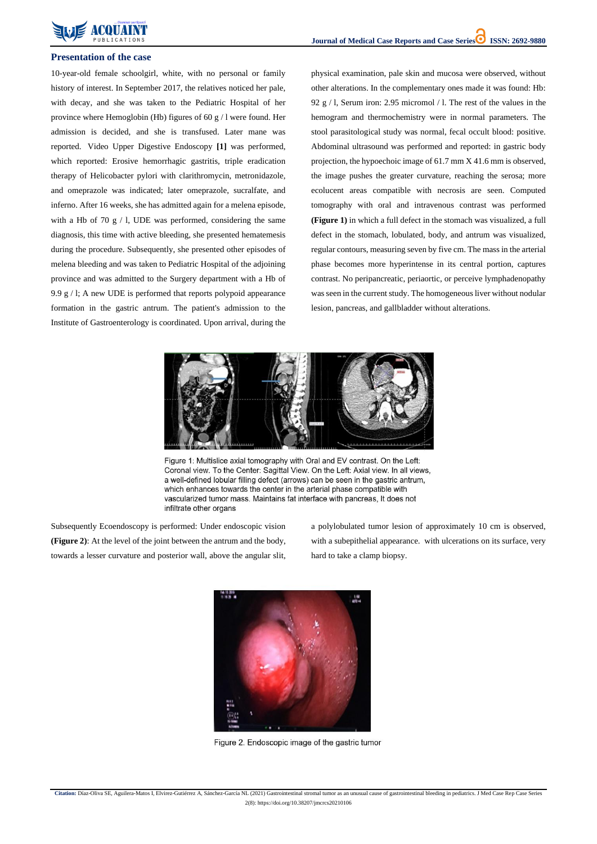2(8): https://doi.org/10.38207/jmcrcs20210106



#### **Presentation of the case**

10-year-old female schoolgirl, white, with no personal or family history of interest. In September 2017, the relatives noticed her pale, with decay, and she was taken to the Pediatric Hospital of her province where Hemoglobin (Hb) figures of 60 g / l were found. Her admission is decided, and she is transfused. Later mane was reported. Video Upper Digestive Endoscopy **[1]** was performed, which reported: Erosive hemorrhagic gastritis, triple eradication therapy of Helicobacter pylori with clarithromycin, metronidazole, and omeprazole was indicated; later omeprazole, sucralfate, and inferno. After 16 weeks, she has admitted again for a melena episode, with a Hb of 70 g  $/$  l, UDE was performed, considering the same diagnosis, this time with active bleeding, she presented hematemesis during the procedure. Subsequently, she presented other episodes of melena bleeding and was taken to Pediatric Hospital of the adjoining province and was admitted to the Surgery department with a Hb of 9.9 g / l; A new UDE is performed that reports polypoid appearance formation in the gastric antrum. The patient's admission to the Institute of Gastroenterology is coordinated. Upon arrival, during the

physical examination, pale skin and mucosa were observed, without other alterations. In the complementary ones made it was found: Hb: 92 g / l, Serum iron: 2.95 micromol / l. The rest of the values in the hemogram and thermochemistry were in normal parameters. The stool parasitological study was normal, fecal occult blood: positive. Abdominal ultrasound was performed and reported: in gastric body projection, the hypoechoic image of 61.7 mm X 41.6 mm is observed, the image pushes the greater curvature, reaching the serosa; more ecolucent areas compatible with necrosis are seen. Computed tomography with oral and intravenous contrast was performed **(Figure 1)** in which a full defect in the stomach was visualized, a full defect in the stomach, lobulated, body, and antrum was visualized, regular contours, measuring seven by five cm. The mass in the arterial phase becomes more hyperintense in its central portion, captures contrast. No peripancreatic, periaortic, or perceive lymphadenopathy was seen in the current study. The homogeneous liver without nodular lesion, pancreas, and gallbladder without alterations.



Figure 1: Multislice axial tomography with Oral and EV contrast. On the Left: Coronal view. To the Center: Sagittal View. On the Left: Axial view. In all views, a well-defined lobular filling defect (arrows) can be seen in the gastric antrum, which enhances towards the center in the arterial phase compatible with vascularized tumor mass. Maintains fat interface with pancreas, It does not infiltrate other organs

Subsequently Ecoendoscopy is performed: Under endoscopic vision **(Figure 2)**: At the level of the joint between the antrum and the body, towards a lesser curvature and posterior wall, above the angular slit, a polylobulated tumor lesion of approximately 10 cm is observed, with a subepithelial appearance. with ulcerations on its surface, very hard to take a clamp biopsy.





Figure 2. Endoscopic image of the gastric tumor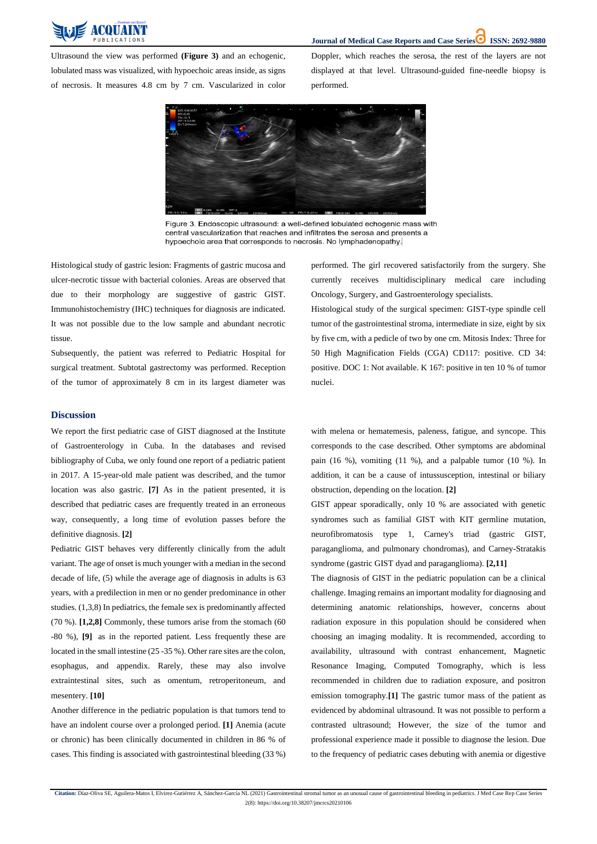

2(8): https://doi.org/10.38207/jmcrcs20210106

Ultrasound the view was performed **(Figure 3)** and an echogenic, lobulated mass was visualized, with hypoechoic areas inside, as signs of necrosis. It measures 4.8 cm by 7 cm. Vascularized in color Doppler, which reaches the serosa, the rest of the layers are not displayed at that level. Ultrasound-guided fine-needle biopsy is performed.



Figure 3. Endoscopic ultrasound: a well-defined lobulated echogenic mass with central vascularization that reaches and infiltrates the serosa and presents a hypoechoic area that corresponds to necrosis. No lymphadenopathy.

Histological study of gastric lesion: Fragments of gastric mucosa and ulcer-necrotic tissue with bacterial colonies. Areas are observed that due to their morphology are suggestive of gastric GIST. Immunohistochemistry (IHC) techniques for diagnosis are indicated. It was not possible due to the low sample and abundant necrotic tissue.

Subsequently, the patient was referred to Pediatric Hospital for surgical treatment. Subtotal gastrectomy was performed. Reception of the tumor of approximately 8 cm in its largest diameter was performed. The girl recovered satisfactorily from the surgery. She currently receives multidisciplinary medical care including Oncology, Surgery, and Gastroenterology specialists.

Histological study of the surgical specimen: GIST-type spindle cell tumor of the gastrointestinal stroma, intermediate in size, eight by six by five cm, with a pedicle of two by one cm. Mitosis Index: Three for 50 High Magnification Fields (CGA) CD117: positive. CD 34: positive. DOC 1: Not available. K 167: positive in ten 10 % of tumor nuclei.

#### **Discussion**

We report the first pediatric case of GIST diagnosed at the Institute of Gastroenterology in Cuba. In the databases and revised bibliography of Cuba, we only found one report of a pediatric patient in 2017. A 15-year-old male patient was described, and the tumor location was also gastric. **[7]** As in the patient presented, it is described that pediatric cases are frequently treated in an erroneous way, consequently, a long time of evolution passes before the definitive diagnosis. **[2]**

Pediatric GIST behaves very differently clinically from the adult variant. The age of onset is much younger with a median in the second decade of life, (5) while the average age of diagnosis in adults is 63 years, with a predilection in men or no gender predominance in other studies. (1,3,8) In pediatrics, the female sex is predominantly affected (70 %). **[1,2,8]** Commonly, these tumors arise from the stomach (60

-80 %), **[9]** as in the reported patient. Less frequently these are located in the small intestine (25 -35 %). Other rare sites are the colon, esophagus, and appendix. Rarely, these may also involve extraintestinal sites, such as omentum, retroperitoneum, and mesentery. **[10]**

Another difference in the pediatric population is that tumors tend to have an indolent course over a prolonged period. **[1]** Anemia (acute or chronic) has been clinically documented in children in 86 % of cases. This finding is associated with gastrointestinal bleeding (33 %) with melena or hematemesis, paleness, fatigue, and syncope. This corresponds to the case described. Other symptoms are abdominal pain (16 %), vomiting (11 %), and a palpable tumor (10 %). In addition, it can be a cause of intussusception, intestinal or biliary obstruction, depending on the location. **[2]**

GIST appear sporadically, only 10 % are associated with genetic syndromes such as familial GIST with KIT germline mutation, neurofibromatosis type 1, Carney's triad (gastric GIST, paraganglioma, and pulmonary chondromas), and Carney-Stratakis syndrome (gastric GIST dyad and paraganglioma). **[2,11]**

The diagnosis of GIST in the pediatric population can be a clinical challenge. Imaging remains an important modality for diagnosing and determining anatomic relationships, however, concerns about radiation exposure in this population should be considered when choosing an imaging modality. It is recommended, according to availability, ultrasound with contrast enhancement, Magnetic Resonance Imaging, Computed Tomography, which is less recommended in children due to radiation exposure, and positron emission tomography.**[1]** The gastric tumor mass of the patient as evidenced by abdominal ultrasound. It was not possible to perform a contrasted ultrasound; However, the size of the tumor and professional experience made it possible to diagnose the lesion. Due to the frequency of pediatric cases debuting with anemia or digestive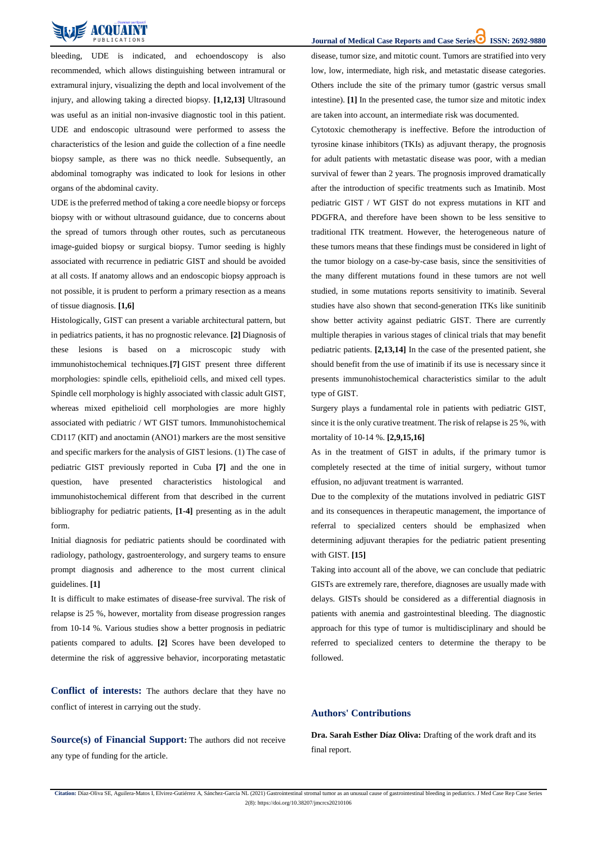2(8): https://doi.org/10.38207/jmcrcs20210106



bleeding, UDE is indicated, and echoendoscopy is also recommended, which allows distinguishing between intramural or extramural injury, visualizing the depth and local involvement of the injury, and allowing taking a directed biopsy. **[1,12,13]** Ultrasound was useful as an initial non-invasive diagnostic tool in this patient. UDE and endoscopic ultrasound were performed to assess the characteristics of the lesion and guide the collection of a fine needle biopsy sample, as there was no thick needle. Subsequently, an abdominal tomography was indicated to look for lesions in other organs of the abdominal cavity.

UDE is the preferred method of taking a core needle biopsy or forceps biopsy with or without ultrasound guidance, due to concerns about the spread of tumors through other routes, such as percutaneous image-guided biopsy or surgical biopsy. Tumor seeding is highly associated with recurrence in pediatric GIST and should be avoided at all costs. If anatomy allows and an endoscopic biopsy approach is not possible, it is prudent to perform a primary resection as a means of tissue diagnosis. **[1,6]**

Histologically, GIST can present a variable architectural pattern, but in pediatrics patients, it has no prognostic relevance. **[2]** Diagnosis of these lesions is based on a microscopic study with immunohistochemical techniques.**[7]** GIST present three different morphologies: spindle cells, epithelioid cells, and mixed cell types. Spindle cell morphology is highly associated with classic adult GIST, whereas mixed epithelioid cell morphologies are more highly associated with pediatric / WT GIST tumors. Immunohistochemical CD117 (KIT) and anoctamin (ANO1) markers are the most sensitive and specific markers for the analysis of GIST lesions. (1) The case of pediatric GIST previously reported in Cuba **[7]** and the one in question, have presented characteristics histological and immunohistochemical different from that described in the current bibliography for pediatric patients, **[1-4]** presenting as in the adult form.

Initial diagnosis for pediatric patients should be coordinated with radiology, pathology, gastroenterology, and surgery teams to ensure prompt diagnosis and adherence to the most current clinical guidelines. **[1]**

It is difficult to make estimates of disease-free survival. The risk of relapse is 25 %, however, mortality from disease progression ranges from 10-14 %. Various studies show a better prognosis in pediatric **Journal of Medical Case Reports and Case Series<sup>1</sup> <b>ISSN: 2692-9880** 

patients compared to adults. **[2]** Scores have been developed to determine the risk of aggressive behavior, incorporating metastatic disease, tumor size, and mitotic count. Tumors are stratified into very low, low, intermediate, high risk, and metastatic disease categories. Others include the site of the primary tumor (gastric versus small intestine). **[1]** In the presented case, the tumor size and mitotic index are taken into account, an intermediate risk was documented.

Cytotoxic chemotherapy is ineffective. Before the introduction of [tyrosine kinase inhibitors](https://www.sciencedirect.com/topics/medicine-and-dentistry/tyrosine-kinase-inhibitor) (TKIs) as adjuvant therapy, the prognosis for adult patients with metastatic disease was poor, with a median survival of fewer than 2 years. The prognosis improved dramatically after the introduction of specific treatments such as Imatinib. Most pediatric GIST / WT GIST do not express mutations in KIT and PDGFRA, and therefore have been shown to be less sensitive to traditional ITK treatment. However, the heterogeneous nature of these tumors means that these findings must be considered in light of the tumor biology on a case-by-case basis, since the sensitivities of the many different mutations found in these tumors are not well studied, in some mutations reports sensitivity to imatinib. Several studies have also shown that second-generation ITKs like sunitinib show better activity against pediatric GIST. There are currently multiple therapies in various stages of clinical trials that may benefit pediatric patients. **[2,13,14]** In the case of the presented patient, she should benefit from the use of imatinib if its use is necessary since it presents immunohistochemical characteristics similar to the adult type of GIST.

Surgery plays a fundamental role in patients with pediatric GIST, since it is the only curative treatment. The risk of relapse is 25 %, with mortality of 10-14 %. **[2,9,15,16]**

As in the treatment of GIST in adults, if the primary tumor is completely resected at the time of initial surgery, without tumor effusion, no adjuvant treatment is warranted.

Due to the complexity of the mutations involved in pediatric GIST and its consequences in therapeutic management, the importance of referral to specialized centers should be emphasized when determining adjuvant therapies for the pediatric patient presenting with GIST. **[15]**

Taking into account all of the above, we can conclude that pediatric GISTs are extremely rare, therefore, diagnoses are usually made with delays. GISTs should be considered as a differential diagnosis in patients with anemia and gastrointestinal bleeding. The diagnostic approach for this type of tumor is multidisciplinary and should be

referred to specialized centers to determine the therapy to be followed.

**Conflict of interests:** The authors declare that they have no

conflict of interest in carrying out the study.

**Source(s) of Financial Support:** The authors did not receive any type of funding for the article.

## **Authors' Contributions**

**Dra. Sarah Esther Díaz Oliva:** Drafting of the work draft and its final report.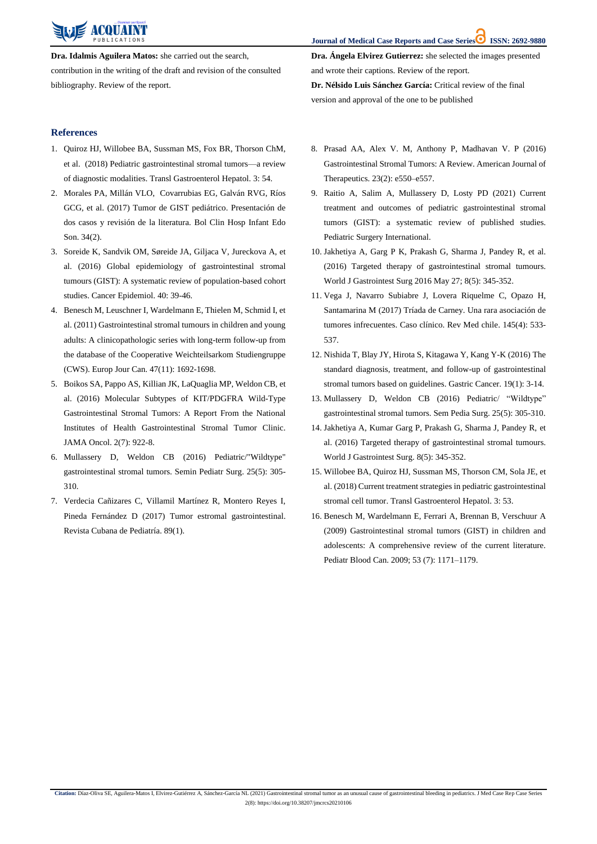**Journal of Medical Case Reports and Case Series ISSN: 2692-9880** 

**Citation:** Díaz-Oliva SE, Aguilera-Matos I, Elvirez-Gutiérrez A, Sánchez-García NL (2021) Gastrointestinal stromal tumor as an unusual cause of gastrointestinal bleeding in pediatrics. J Med Case Rep Case Series

2(8): https://doi.org/10.38207/jmcrcs20210106



**Dra. Idalmis Aguilera Matos:** she carried out the search, contribution in the writing of the draft and revision of the consulted bibliography. Review of the report.

**Dra. Ángela Elvirez Gutierrez:** she selected the images presented and wrote their captions. Review of the report.

**Dr. Nélsido Luis Sánchez García:** Critical review of the final version and approval of the one to be published

### **References**

- 1. [Quiroz HJ, Willobee BA, Sussman MS, Fox BR, Thorson ChM,](https://pubmed.ncbi.nlm.nih.gov/30225388/)  [et al. \(2018\) Pediatric gastrointestinal stromal tumors—a review](https://pubmed.ncbi.nlm.nih.gov/30225388/)  [of diagnostic modalities. Transl Gastroenterol Hepatol.](https://pubmed.ncbi.nlm.nih.gov/30225388/) 3: 54.
- 2. Morales PA, Millán VLO, [Covarrubias EG, Galván RVG, Ríos](https://www.medigraphic.com/cgi-bin/new/resumen.cgi?IDARTICULO=77556)  GCG, et al. [\(2017\) Tumor de GIST pediátrico. Presentación de](https://www.medigraphic.com/cgi-bin/new/resumen.cgi?IDARTICULO=77556)  [dos casos y revisión de la literatura. Bol Clin Hosp Infant Edo](https://www.medigraphic.com/cgi-bin/new/resumen.cgi?IDARTICULO=77556)  Son. [34\(2\).](https://www.medigraphic.com/cgi-bin/new/resumen.cgi?IDARTICULO=77556)
- 3. [Soreide K, Sandvik OM, Søreide JA, Giljaca V, Jureckova](https://pubmed.ncbi.nlm.nih.gov/26618334/) A, et [al. \(2016\) Global epidemiology of gastrointestinal stromal](https://pubmed.ncbi.nlm.nih.gov/26618334/)  [tumours \(GIST\): A systematic review of population-based cohort](https://pubmed.ncbi.nlm.nih.gov/26618334/)  [studies. Cancer Epidemiol.](https://pubmed.ncbi.nlm.nih.gov/26618334/) 40: 39-46.
- 4. [Benesch M, Leuschner I, Wardelmann E, Thielen M, Schmid I, et](https://pubmed.ncbi.nlm.nih.gov/21486690/)  [al. \(2011\) Gastrointestinal stromal tumours in children and young](https://pubmed.ncbi.nlm.nih.gov/21486690/)  [adults: A clinicopathologic series with long-term follow-up from](https://pubmed.ncbi.nlm.nih.gov/21486690/)  [the database of the Cooperative Weichteilsarkom Studiengruppe](https://pubmed.ncbi.nlm.nih.gov/21486690/)  [\(CWS\). Europ Jour Can. 47\(11\): 1692-1698.](https://pubmed.ncbi.nlm.nih.gov/21486690/)
- 5. [Boikos SA, Pappo AS, Killian JK, LaQuaglia MP, Weldon CB, et](https://pubmed.ncbi.nlm.nih.gov/27011036/)  [al. \(2016\) Molecular Subtypes of KIT/PDGFRA Wild-Type](https://pubmed.ncbi.nlm.nih.gov/27011036/)  [Gastrointestinal Stromal Tumors: A Report From the National](https://pubmed.ncbi.nlm.nih.gov/27011036/)  [Institutes of Health Gastrointestinal Stromal Tumor Clinic.](https://pubmed.ncbi.nlm.nih.gov/27011036/)  [JAMA Oncol.](https://pubmed.ncbi.nlm.nih.gov/27011036/) 2(7): 922-8.
- 6. [Mullassery D, Weldon CB \(2016\) Pediatric/"Wildtype"](https://pubmed.ncbi.nlm.nih.gov/27955734/)  [gastrointestinal stromal tumors. Semin Pediatr Surg. 25\(5\):](https://pubmed.ncbi.nlm.nih.gov/27955734/) 305- [310.](https://pubmed.ncbi.nlm.nih.gov/27955734/)
- 7. [Verdecia Cañizares C, Villamil Martínez R, Montero Reyes I,](http://scielo.sld.cu/scielo.php?script=sci_arttext&pid=S0034-75312017000100007)  [Pineda Fernández D \(2017\) Tumor estromal gastrointestinal.](http://scielo.sld.cu/scielo.php?script=sci_arttext&pid=S0034-75312017000100007)  [Revista Cubana de Pediatría. 89\(1\).](http://scielo.sld.cu/scielo.php?script=sci_arttext&pid=S0034-75312017000100007)
- 8. [Prasad AA, Alex V. M, Anthony P, Madhavan V. P](https://journals.lww.com/americantherapeutics/Abstract/2016/03000/Gastrointestinal_Stromal_Tumors__A_Review.26.aspx) (2016) [Gastrointestinal Stromal Tumors: A Review. American Journal of](https://journals.lww.com/americantherapeutics/Abstract/2016/03000/Gastrointestinal_Stromal_Tumors__A_Review.26.aspx)  [Therapeutics. 23\(2\): e550–e557.](https://journals.lww.com/americantherapeutics/Abstract/2016/03000/Gastrointestinal_Stromal_Tumors__A_Review.26.aspx)
- 9. [Raitio A, Salim A, Mullassery D, Losty PD \(2021\) Current](https://pubmed.ncbi.nlm.nih.gov/34081161/)  [treatment and outcomes of pediatric gastrointestinal stromal](https://pubmed.ncbi.nlm.nih.gov/34081161/)  tumors (GIST): a systematic [review of published studies.](https://pubmed.ncbi.nlm.nih.gov/34081161/)  [Pediatric Surgery International.](https://pubmed.ncbi.nlm.nih.gov/34081161/)
- 10. [Jakhetiya A, Garg P K, Prakash G, Sharma J, Pandey R, et al.](https://www.ncbi.nlm.nih.gov/pmc/articles/PMC4872062/) [\(2016\) Targeted therapy of gastrointestinal stromal tumours.](https://www.ncbi.nlm.nih.gov/pmc/articles/PMC4872062/)  [World J Gastrointest Surg 2016 May 27; 8\(5\): 345-352.](https://www.ncbi.nlm.nih.gov/pmc/articles/PMC4872062/)
- 11. [Vega J, Navarro Subiabre J, Lovera Riquelme C, Opazo H,](https://www.scielo.cl/scielo.php?pid=S0034-98872017000400014&script=sci_arttext)  [Santamarina M \(2017\) Tríada de Carney. Una rara asociación de](https://www.scielo.cl/scielo.php?pid=S0034-98872017000400014&script=sci_arttext)  [tumores infrecuentes. Caso clínico. Rev Med chile.](https://www.scielo.cl/scielo.php?pid=S0034-98872017000400014&script=sci_arttext) 145(4): 533- [537.](https://www.scielo.cl/scielo.php?pid=S0034-98872017000400014&script=sci_arttext)
- 12. [Nishida T, Blay JY, Hirota S, Kitagawa Y, Kang Y-K](https://pubmed.ncbi.nlm.nih.gov/26276366/) (2016) The [standard diagnosis, treatment, and follow-up of gastrointestinal](https://pubmed.ncbi.nlm.nih.gov/26276366/)  [stromal tumors based on guidelines. Gastric Cancer.](https://pubmed.ncbi.nlm.nih.gov/26276366/) 19(1): 3-14.
- 13. Mullassery D, Weldon CB [\(2016\) Pediatric/ "Wildtype"](https://www.sciencedirect.com/science/article/abs/pii/S1055858616300427)  [gastrointestinal stromal tumors. Sem Pedia Surg. 25\(5\): 305-310.](https://www.sciencedirect.com/science/article/abs/pii/S1055858616300427)
- 14. [Jakhetiya A, Kumar Garg P, Prakash G, Sharma J, Pandey R, et](https://www.ncbi.nlm.nih.gov/pmc/articles/PMC4872062/)  [al. \(2016\) Targeted therapy of gastrointestinal stromal tumours.](https://www.ncbi.nlm.nih.gov/pmc/articles/PMC4872062/)  [World J Gastrointest Surg.](https://www.ncbi.nlm.nih.gov/pmc/articles/PMC4872062/) 8(5): 345-352.
- 15. [Willobee BA, Quiroz HJ, Sussman MS, Thorson CM, Sola JE, et](https://pubmed.ncbi.nlm.nih.gov/30225387/)  al. [\(2018\) Current treatment strategies in pediatric gastrointestinal](https://pubmed.ncbi.nlm.nih.gov/30225387/)  [stromal cell tumor. Transl Gastroenterol Hepatol.](https://pubmed.ncbi.nlm.nih.gov/30225387/) 3: 53.
- 16. [Benesch M, Wardelmann E, Ferrari A, Brennan B, Verschuur A](https://pubmed.ncbi.nlm.nih.gov/19499582/)  (2009) [Gastrointestinal stromal tumors \(GIST\) in children and](https://pubmed.ncbi.nlm.nih.gov/19499582/)  [adolescents: A comprehensive review of the current literature.](https://pubmed.ncbi.nlm.nih.gov/19499582/)  [Pediatr Blood Can. 2009; 53 \(7\): 1171–1179.](https://pubmed.ncbi.nlm.nih.gov/19499582/)